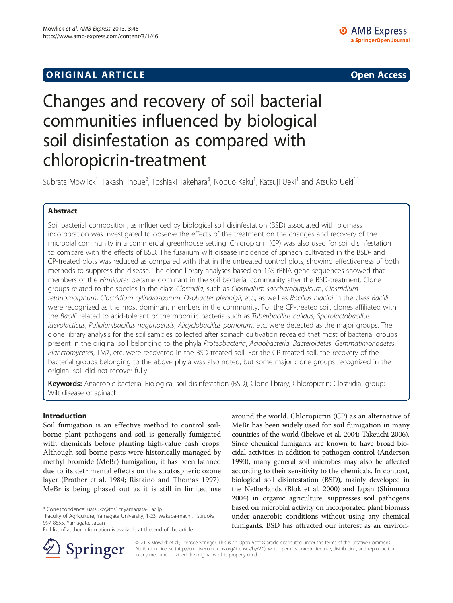# **ORIGINAL ARTICLE CONSUMING A LIGACION** CONSUMING A LIGACION CONSUMING A LIGACION CONSUMING A LIGACION CONSUMING A LIGACION CONSUMING A LIGACION CONSUMING A LIGACION CONSUMING A LIGACION CONSUMING A LIGACION CONSUMING A

# Changes and recovery of soil bacterial communities influenced by biological soil disinfestation as compared with chloropicrin-treatment

Subrata Mowlick<sup>1</sup>, Takashi Inoue<sup>2</sup>, Toshiaki Takehara<sup>3</sup>, Nobuo Kaku<sup>1</sup>, Katsuji Ueki<sup>1</sup> and Atsuko Ueki<sup>1\*</sup>

# Abstract

Soil bacterial composition, as influenced by biological soil disinfestation (BSD) associated with biomass incorporation was investigated to observe the effects of the treatment on the changes and recovery of the microbial community in a commercial greenhouse setting. Chloropicrin (CP) was also used for soil disinfestation to compare with the effects of BSD. The fusarium wilt disease incidence of spinach cultivated in the BSD- and CP-treated plots was reduced as compared with that in the untreated control plots, showing effectiveness of both methods to suppress the disease. The clone library analyses based on 16S rRNA gene sequences showed that members of the Firmicutes became dominant in the soil bacterial community after the BSD-treatment. Clone groups related to the species in the class Clostridia, such as Clostridium saccharobutylicum, Clostridium tetanomorphum, Clostridium cylindrosporum, Oxobacter pfennigii, etc., as well as Bacillus niacini in the class Bacilli were recognized as the most dominant members in the community. For the CP-treated soil, clones affiliated with the Bacilli related to acid-tolerant or thermophilic bacteria such as Tuberibacillus calidus, Sporolactobacillus laevolacticus, Pullulanibacillus naganoensis, Alicyclobacillus pomorum, etc. were detected as the major groups. The clone library analysis for the soil samples collected after spinach cultivation revealed that most of bacterial groups present in the original soil belonging to the phyla Proteobacteria, Acidobacteria, Bacteroidetes, Gemmatimonadetes, Planctomycetes, TM7, etc. were recovered in the BSD-treated soil. For the CP-treated soil, the recovery of the bacterial groups belonging to the above phyla was also noted, but some major clone groups recognized in the original soil did not recover fully.

Keywords: Anaerobic bacteria; Biological soil disinfestation (BSD); Clone library; Chloropicrin; Clostridial group; Wilt disease of spinach

# Introduction

Soil fumigation is an effective method to control soilborne plant pathogens and soil is generally fumigated with chemicals before planting high-value cash crops. Although soil-borne pests were historically managed by methyl bromide (MeBr) fumigation, it has been banned due to its detrimental effects on the stratospheric ozone layer (Prather et al. [1984;](#page-11-0) Ristaino and Thomas [1997](#page-11-0)). MeBr is being phased out as it is still in limited use

Full list of author information is available at the end of the article



around the world. Chloropicrin (CP) as an alternative of MeBr has been widely used for soil fumigation in many countries of the world (Ibekwe et al. [2004;](#page-10-0) Takeuchi [2006](#page-11-0)). Since chemical fumigants are known to have broad biocidal activities in addition to pathogen control (Anderson [1993\)](#page-10-0), many general soil microbes may also be affected according to their sensitivity to the chemicals. In contrast, biological soil disinfestation (BSD), mainly developed in the Netherlands (Blok et al. [2000\)](#page-10-0) and Japan (Shinmura [2004\)](#page-11-0) in organic agriculture, suppresses soil pathogens based on microbial activity on incorporated plant biomass under anaerobic conditions without using any chemical fumigants. BSD has attracted our interest as an environ-

© 2013 Mowlick et al.; licensee Springer. This is an Open Access article distributed under the terms of the Creative Commons Attribution License [\(http://creativecommons.org/licenses/by/2.0\)](http://creativecommons.org/licenses/by/2.0), which permits unrestricted use, distribution, and reproduction in any medium, provided the original work is properly cited.

<sup>\*</sup> Correspondence: [uatsuko@tds1.tr.yamagata-u.ac.jp](mailto:uatsuko@tds1.tr.yamagata-u.ac.jp) <sup>1</sup>

Faculty of Agriculture, Yamagata University, 1-23, Wakaba-machi, Tsuruoka 997-8555, Yamagata, Japan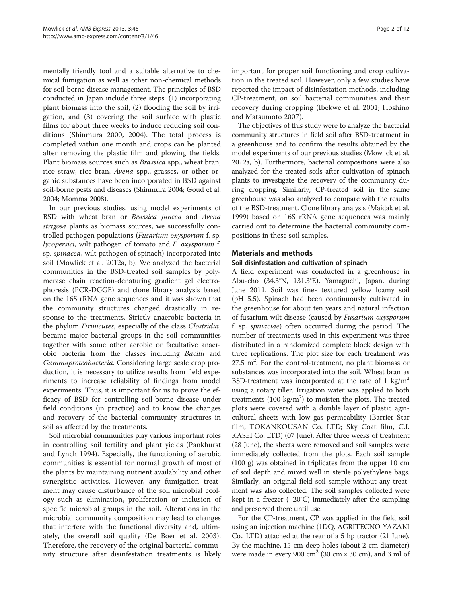mentally friendly tool and a suitable alternative to chemical fumigation as well as other non-chemical methods for soil-borne disease management. The principles of BSD conducted in Japan include three steps: (1) incorporating plant biomass into the soil, (2) flooding the soil by irrigation, and (3) covering the soil surface with plastic films for about three weeks to induce reducing soil conditions (Shinmura [2000, 2004\)](#page-11-0). The total process is completed within one month and crops can be planted after removing the plastic film and plowing the fields. Plant biomass sources such as Brassica spp., wheat bran, rice straw, rice bran, Avena spp., grasses, or other organic substances have been incorporated in BSD against soil-borne pests and diseases (Shinmura [2004](#page-11-0); Goud et al. [2004;](#page-10-0) Momma [2008](#page-11-0)).

In our previous studies, using model experiments of BSD with wheat bran or Brassica juncea and Avena strigosa plants as biomass sources, we successfully controlled pathogen populations (Fusarium oxysporum f. sp. lycopersici, wilt pathogen of tomato and F. oxysporum f. sp. spinacea, wilt pathogen of spinach) incorporated into soil (Mowlick et al. [2012a, b\)](#page-11-0). We analyzed the bacterial communities in the BSD-treated soil samples by polymerase chain reaction-denaturing gradient gel electrophoresis (PCR-DGGE) and clone library analysis based on the 16S rRNA gene sequences and it was shown that the community structures changed drastically in response to the treatments. Strictly anaerobic bacteria in the phylum Firmicutes, especially of the class Clostridia, became major bacterial groups in the soil communities together with some other aerobic or facultative anaerobic bacteria from the classes including Bacilli and Gammaproteobacteria. Considering large scale crop production, it is necessary to utilize results from field experiments to increase reliability of findings from model experiments. Thus, it is important for us to prove the efficacy of BSD for controlling soil-borne disease under field conditions (in practice) and to know the changes and recovery of the bacterial community structures in soil as affected by the treatments.

Soil microbial communities play various important roles in controlling soil fertility and plant yields (Pankhurst and Lynch [1994\)](#page-11-0). Especially, the functioning of aerobic communities is essential for normal growth of most of the plants by maintaining nutrient availability and other synergistic activities. However, any fumigation treatment may cause disturbance of the soil microbial ecology such as elimination, proliferation or inclusion of specific microbial groups in the soil. Alterations in the microbial community composition may lead to changes that interfere with the functional diversity and, ultimately, the overall soil quality (De Boer et al. [2003](#page-10-0)). Therefore, the recovery of the original bacterial community structure after disinfestation treatments is likely

important for proper soil functioning and crop cultivation in the treated soil. However, only a few studies have reported the impact of disinfestation methods, including CP-treatment, on soil bacterial communities and their recovery during cropping (Ibekwe et al. [2001](#page-10-0); Hoshino and Matsumoto [2007\)](#page-10-0).

The objectives of this study were to analyze the bacterial community structures in field soil after BSD-treatment in a greenhouse and to confirm the results obtained by the model experiments of our previous studies (Mowlick et al. [2012a](#page-11-0), [b](#page-11-0)). Furthermore, bacterial compositions were also analyzed for the treated soils after cultivation of spinach plants to investigate the recovery of the community during cropping. Similarly, CP-treated soil in the same greenhouse was also analyzed to compare with the results of the BSD-treatment. Clone library analysis (Maidak et al. [1999](#page-10-0)) based on 16S rRNA gene sequences was mainly carried out to determine the bacterial community compositions in these soil samples.

# Materials and methods

### Soil disinfestation and cultivation of spinach

A field experiment was conducted in a greenhouse in Abu-cho (34.3°N, 131.3°E), Yamaguchi, Japan, during June 2011. Soil was fine- textured yellow loamy soil (pH 5.5). Spinach had been continuously cultivated in the greenhouse for about ten years and natural infection of fusarium wilt disease (caused by Fusarium oxysporum f. sp. spinaciae) often occurred during the period. The number of treatments used in this experiment was three distributed in a randomized complete block design with three replications. The plot size for each treatment was  $27.5$  m<sup>2</sup>. For the control-treatment, no plant biomass or substances was incorporated into the soil. Wheat bran as BSD-treatment was incorporated at the rate of 1 kg/m<sup>2</sup> using a rotary tiller. Irrigation water was applied to both treatments  $(100 \text{ kg/m}^2)$  to moisten the plots. The treated plots were covered with a double layer of plastic agricultural sheets with low gas permeability (Barrier Star film, TOKANKOUSAN Co. LTD; Sky Coat film, C.I. KASEI Co. LTD) (07 June). After three weeks of treatment (28 June), the sheets were removed and soil samples were immediately collected from the plots. Each soil sample (100 g) was obtained in triplicates from the upper 10 cm of soil depth and mixed well in sterile polyethylene bags. Similarly, an original field soil sample without any treatment was also collected. The soil samples collected were kept in a freezer (−20°C) immediately after the sampling and preserved there until use.

For the CP-treatment, CP was applied in the field soil using an injection machine (1DQ, AGRITECNO YAZAKI Co., LTD) attached at the rear of a 5 hp tractor (21 June). By the machine, 15-cm-deep holes (about 2 cm diameter) were made in every 900  $\text{cm}^2$  (30  $\text{cm} \times 30 \text{ cm}$ ), and 3 ml of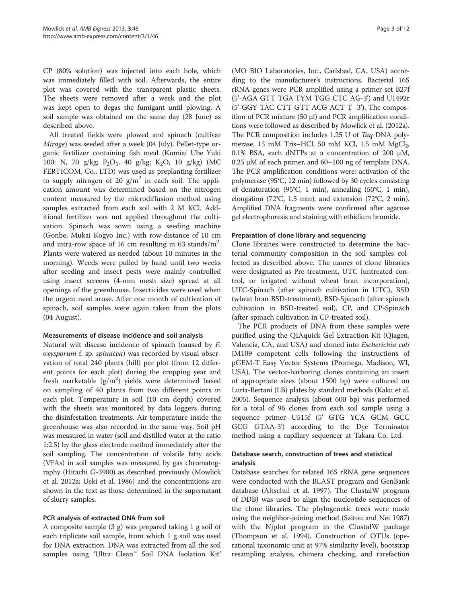CP (80% solution) was injected into each hole, which was immediately filled with soil. Afterwards, the entire plot was covered with the transparent plastic sheets. The sheets were removed after a week and the plot was kept open to degas the fumigant until plowing. A soil sample was obtained on the same day (28 June) as described above.

All treated fields were plowed and spinach (cultivar Mirage) was seeded after a week (04 July). Pellet-type organic fertilizer containing fish meal (Kumiai Ube Yuki 100: N, 70 g/kg; P<sub>2</sub>O<sub>5</sub>, 40 g/kg; K<sub>2</sub>O, 10 g/kg) (MC FERTICOM, Co., LTD) was used as preplanting fertilizer to supply nitrogen of 20  $g/m^2$  in each soil. The application amount was determined based on the nitrogen content measured by the microdiffusion method using samples extracted from each soil with 2 M KCl. Additional fertilizer was not applied throughout the cultivation. Spinach was sown using a seeding machine (Gonbe, Mukai Kogyo Inc.) with row-distance of 10 cm and intra-row space of 16 cm resulting in 63 stands/m<sup>2</sup>. Plants were watered as needed (about 10 minutes in the morning). Weeds were pulled by hand until two weeks after seeding and insect pests were mainly controlled using insect screens (4-mm mesh size) spread at all openings of the greenhouse. Insecticides were used when the urgent need arose. After one month of cultivation of spinach, soil samples were again taken from the plots (04 August).

#### Measurements of disease incidence and soil analysis

Natural wilt disease incidence of spinach (caused by F. oxysporum f. sp. spinacea) was recorded by visual observation of total 240 plants (hill) per plot (from 12 different points for each plot) during the cropping year and fresh marketable  $(g/m^2)$  yields were determined based on sampling of 40 plants from two different points in each plot. Temperature in soil (10 cm depth) covered with the sheets was monitored by data loggers during the disinfestation treatments. Air temperature inside the greenhouse was also recorded in the same way. Soil pH was measured in water (soil and distilled water at the ratio 1:2.5) by the glass electrode method immediately after the soil sampling. The concentration of volatile fatty acids (VFAs) in soil samples was measured by gas chromatography (Hitachi G-3900) as described previously (Mowlick et al. [2012a;](#page-11-0) Ueki et al. [1986](#page-11-0)) and the concentrations are shown in the text as those determined in the supernatant of slurry samples.

# PCR analysis of extracted DNA from soil

A composite sample (3 g) was prepared taking 1 g soil of each triplicate soil sample, from which 1 g soil was used for DNA extraction. DNA was extracted from all the soil samples using 'Ultra Clean™ Soil DNA Isolation Kit'

(MO BIO Laboratories, Inc., Carlsbad, CA, USA) according to the manufacturer's instructions. Bacterial 16S rRNA genes were PCR amplified using a primer set B27f (5'-AGA GTT TGA TYM TGG CTC AG-3') and U1492r (5'-GGY TAC CTT GTT ACG ACT T -3'). The composition of PCR mixture (50 μl) and PCR amplification conditions were followed as described by Mowlick et al. [\(2012a](#page-11-0)). The PCR composition includes 1.25 U of Taq DNA polymerase, 15 mM Tris–HCl, 50 mM KCl, 1.5 mM  $MgCl<sub>2</sub>$ , 0.1% BSA, each dNTPs at a concentration of 200 μM, 0.25 μM of each primer, and 60–100 ng of template DNA. The PCR amplification conditions were: activation of the polymerase (95°C, 12 min) followed by 30 cycles consisting of denaturation (95°C, 1 min), annealing (50°C, 1 min), elongation (72°C, 1.5 min), and extension (72°C, 2 min). Amplified DNA fragments were confirmed after agarose gel electrophoresis and staining with ethidium bromide.

### Preparation of clone library and sequencing

Clone libraries were constructed to determine the bacterial community composition in the soil samples collected as described above. The names of clone libraries were designated as Pre-treatment, UTC (untreated control, or irrigated without wheat bran incorporation), UTC-Spinach (after spinach cultivation in UTC), BSD (wheat bran BSD-treatment), BSD-Spinach (after spinach cultivation in BSD-treated soil), CP, and CP-Spinach (after spinach cultivation in CP-treated soil).

The PCR products of DNA from these samples were purified using the QIAquick Gel Extraction Kit (Qiagen, Valencia, CA, and USA) and cloned into Escherichia coli JM109 competent cells following the instructions of pGEM-T Easy Vector Systems (Promega, Madison, WI, USA). The vector-harboring clones containing an insert of appropriate sizes (about 1500 bp) were cultured on Luria-Bertani (LB) plates by standard methods (Kaku et al. [2005](#page-10-0)). Sequence analysis (about 600 bp) was performed for a total of 96 clones from each soil sample using a sequence primer U515f (5' GTG YCA GCM GCC GCG GTAA-3') according to the Dye Terminator method using a capillary sequencer at Takara Co. Ltd.

# Database search, construction of trees and statistical analysis

Database searches for related 16S rRNA gene sequences were conducted with the BLAST program and GenBank database (Altschul et al. [1997\)](#page-10-0). The ClustalW program of DDBJ was used to align the nucleotide sequences of the clone libraries. The phylogenetic trees were made using the neighbor-joining method (Saitou and Nei [1987](#page-11-0)) with the Njplot program in the ClustalW package (Thompson et al. [1994](#page-11-0)). Construction of OTUs (operational taxonomic unit at 97% similarity level), bootstrap resampling analysis, chimera checking, and rarefaction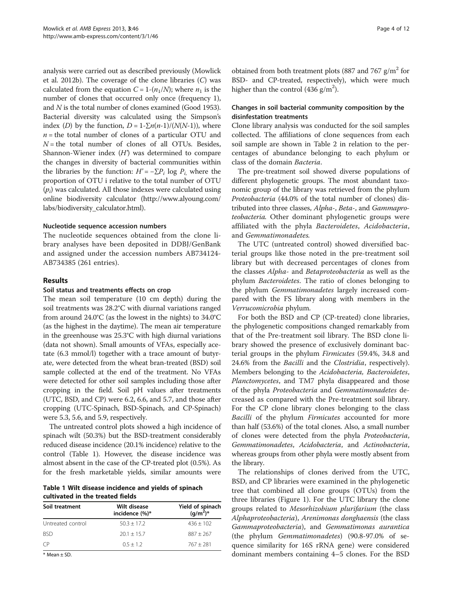<span id="page-3-0"></span>analysis were carried out as described previously (Mowlick et al. [2012b](#page-11-0)). The coverage of the clone libraries (C) was calculated from the equation  $C = 1-(n_1/N)$ ; where  $n_1$  is the number of clones that occurred only once (frequency 1), and N is the total number of clones examined (Good [1953](#page-10-0)). Bacterial diversity was calculated using the Simpson's index (D) by the function,  $D = 1-\sum n(n-1)/(N(N-1))$ , where  $n =$  the total number of clones of a particular OTU and  $N =$  the total number of clones of all OTUs. Besides, Shannon-Wiener index  $(H)$  was determined to compare the changes in diversity of bacterial communities within the libraries by the function:  $H' = -\sum P_i \log P_i$ , where the proportion of OTU i relative to the total number of OTU  $(p_i)$  was calculated. All those indexes were calculated using online biodiversity calculator [\(http://www.alyoung.com/](http://www.alyoung.com/labs/biodiversity_calculator.html) [labs/biodiversity\\_calculator.html](http://www.alyoung.com/labs/biodiversity_calculator.html)).

### Nucleotide sequence accession numbers

The nucleotide sequences obtained from the clone library analyses have been deposited in DDBJ/GenBank and assigned under the accession numbers AB734124- AB734385 (261 entries).

### Results

# Soil status and treatments effects on crop

The mean soil temperature (10 cm depth) during the soil treatments was 28.2°C with diurnal variations ranged from around 24.0°C (as the lowest in the nights) to 34.0°C (as the highest in the daytime). The mean air temperature in the greenhouse was 25.3°C with high diurnal variations (data not shown). Small amounts of VFAs, especially acetate (6.3 mmol/l) together with a trace amount of butyrate, were detected from the wheat bran-treated (BSD) soil sample collected at the end of the treatment. No VFAs were detected for other soil samples including those after cropping in the field. Soil pH values after treatments (UTC, BSD, and CP) were 6.2, 6.6, and 5.7, and those after cropping (UTC-Spinach, BSD-Spinach, and CP-Spinach) were 5.3, 5.6, and 5.9, respectively.

The untreated control plots showed a high incidence of spinach wilt (50.3%) but the BSD-treatment considerably reduced disease incidence (20.1% incidence) relative to the control (Table 1). However, the disease incidence was almost absent in the case of the CP-treated plot (0.5%). As for the fresh marketable yields, similar amounts were

Table 1 Wilt disease incidence and yields of spinach cultivated in the treated fields

| Soil treatment    | Wilt disease<br>incidence (%)* | Yield of spinach<br>(g/m <sup>2</sup> )* |  |  |
|-------------------|--------------------------------|------------------------------------------|--|--|
| Untreated control | $50.3 + 17.2$                  | $436 + 102$                              |  |  |
| <b>BSD</b>        | $20.1 + 15.7$                  | $887 + 267$                              |  |  |
| CP)               | $0.5 + 1.2$                    | $767 + 281$                              |  |  |

\* Mean ± SD.

obtained from both treatment plots (887 and 767  $g/m^2$  for BSD- and CP-treated, respectively), which were much higher than the control (436  $g/m^2$ ).

# Changes in soil bacterial community composition by the disinfestation treatments

Clone library analysis was conducted for the soil samples collected. The affiliations of clone sequences from each soil sample are shown in Table [2](#page-4-0) in relation to the percentages of abundance belonging to each phylum or class of the domain Bacteria.

The pre-treatment soil showed diverse populations of different phylogenetic groups. The most abundant taxonomic group of the library was retrieved from the phylum Proteobacteria (44.0% of the total number of clones) distributed into three classes, Alpha-, Beta-, and Gammaproteobacteria. Other dominant phylogenetic groups were affiliated with the phyla Bacteroidetes, Acidobacteria, and Gemmatimonadetes.

The UTC (untreated control) showed diversified bacterial groups like those noted in the pre-treatment soil library but with decreased percentages of clones from the classes Alpha- and Betaproteobacteria as well as the phylum Bacteroidetes. The ratio of clones belonging to the phylum Gemmatimonadetes largely increased compared with the FS library along with members in the Verrucomicrobia phylum.

For both the BSD and CP (CP-treated) clone libraries, the phylogenetic compositions changed remarkably from that of the Pre-treatment soil library. The BSD clone library showed the presence of exclusively dominant bacterial groups in the phylum Firmicutes (59.4%, 34.8 and 24.6% from the Bacilli and the Clostridia, respectively). Members belonging to the Acidobacteria, Bacteroidetes, Planctomycetes, and TM7 phyla disappeared and those of the phyla Proteobacteria and Gemmatimonadetes decreased as compared with the Pre-treatment soil library. For the CP clone library clones belonging to the class Bacilli of the phylum Firmicutes accounted for more than half (53.6%) of the total clones. Also, a small number of clones were detected from the phyla Proteobacteria, Gemmatimonadetes, Acidobacteria, and Actinobacteria, whereas groups from other phyla were mostly absent from the library.

The relationships of clones derived from the UTC, BSD, and CP libraries were examined in the phylogenetic tree that combined all clone groups (OTUs) from the three libraries (Figure [1](#page-6-0)). For the UTC library the clone groups related to Mesorhizobium plurifarium (the class Alphaproteobacteria), Arenimonas donghaensis (the class Gammaproteobacteria), and Gemmatimonas aurantica (the phylum Gemmatimonadetes) (90.8-97.0% of sequence similarity for 16S rRNA gene) were considered dominant members containing 4–5 clones. For the BSD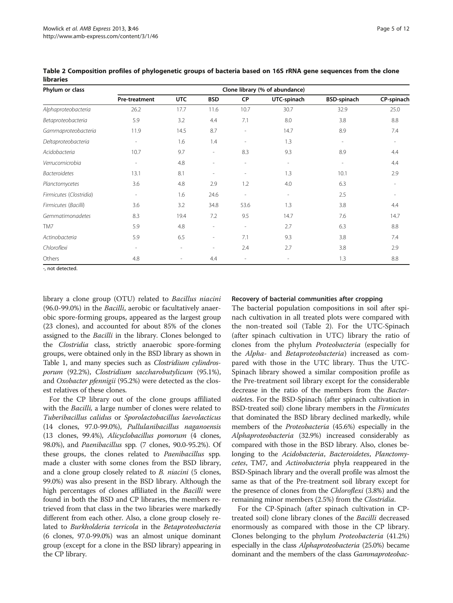| Phylum or class         | Clone library (% of abundance) |                          |                          |                          |                          |                          |            |
|-------------------------|--------------------------------|--------------------------|--------------------------|--------------------------|--------------------------|--------------------------|------------|
|                         | Pre-treatment                  | <b>UTC</b>               | <b>BSD</b>               | <b>CP</b>                | UTC-spinach              | <b>BSD-spinach</b>       | CP-spinach |
| Alphaproteobacteria     | 26.2                           | 17.7                     | 11.6                     | 10.7                     | 30.7                     | 32.9                     | 25.0       |
| Betaproteobacteria      | 5.9                            | 3.2                      | 4.4                      | 7.1                      | 8.0                      | 3.8                      | 8.8        |
| Gammaproteobacteria     | 11.9                           | 14.5                     | 8.7                      | $\overline{\phantom{a}}$ | 14.7                     | 8.9                      | 7.4        |
| Deltaproteobacteria     | $\overline{\phantom{a}}$       | 1.6                      | 1.4                      | $\overline{\phantom{a}}$ | 1.3                      | ۰                        |            |
| Acidobacteria           | 10.7                           | 9.7                      |                          | 8.3                      | 9.3                      | 8.9                      | 4.4        |
| Verrucomicrobia         | $\overline{\phantom{a}}$       | 4.8                      | $\overline{\phantom{a}}$ | $\overline{\phantom{a}}$ | $\overline{\phantom{a}}$ | $\overline{\phantom{a}}$ | 4.4        |
| <b>Bacteroidetes</b>    | 13.1                           | 8.1                      | $\overline{\phantom{a}}$ | $\overline{\phantom{a}}$ | 1.3                      | 10.1                     | 2.9        |
| Planctomycetes          | 3.6                            | 4.8                      | 2.9                      | 1.2                      | 4.0                      | 6.3                      |            |
| Firmicutes (Clostridia) | $\overline{\phantom{a}}$       | 1.6                      | 24.6                     | $\overline{\phantom{a}}$ | $\overline{\phantom{a}}$ | 2.5                      |            |
| Firmicutes (Bacilli)    | 3.6                            | 3.2                      | 34.8                     | 53.6                     | 1.3                      | 3.8                      | 4.4        |
| Gemmatimonadetes        | 8.3                            | 19.4                     | 7.2                      | 9.5                      | 14.7                     | 7.6                      | 14.7       |
| TM7                     | 5.9                            | 4.8                      | $\overline{\phantom{a}}$ | $\overline{\phantom{a}}$ | 2.7                      | 6.3                      | 8.8        |
| Actinobacteria          | 5.9                            | 6.5                      | $\overline{\phantom{a}}$ | 7.1                      | 9.3                      | 3.8                      | 7.4        |
| Chloroflexi             | $\overline{\phantom{a}}$       | $\overline{\phantom{a}}$ |                          | 2.4                      | 2.7                      | 3.8                      | 2.9        |
| Others                  | 4.8                            |                          | 4.4                      | $\overline{\phantom{a}}$ | $\overline{\phantom{a}}$ | 1.3                      | 8.8        |

<span id="page-4-0"></span>Table 2 Composition profiles of phylogenetic groups of bacteria based on 16S rRNA gene sequences from the clone libraries

-, not detected.

library a clone group (OTU) related to Bacillus niacini (96.0-99.0%) in the *Bacilli*, aerobic or facultatively anaerobic spore-forming groups, appeared as the largest group (23 clones), and accounted for about 85% of the clones assigned to the Bacilli in the library. Clones belonged to the Clostridia class, strictly anaerobic spore-forming groups, were obtained only in the BSD library as shown in Table [1,](#page-3-0) and many species such as *Clostridium cylindros*porum (92.2%), Clostridium saccharobutylicum (95.1%), and Oxobacter pfennigii (95.2%) were detected as the closest relatives of these clones.

For the CP library out of the clone groups affiliated with the *Bacilli*, a large number of clones were related to Tuberibacillus calidus or Sporolactobacillus laevolacticus (14 clones, 97.0-99.0%), Pullulanibacillus naganoensis (13 clones, 99.4%), Alicyclobacillus pomorum (4 clones, 98.0%), and Paenibacillus spp. (7 clones, 90.0-95.2%). Of these groups, the clones related to Paenibacillus spp. made a cluster with some clones from the BSD library, and a clone group closely related to *B. niacini* (5 clones, 99.0%) was also present in the BSD library. Although the high percentages of clones affiliated in the Bacilli were found in both the BSD and CP libraries, the members retrieved from that class in the two libraries were markedly different from each other. Also, a clone group closely related to Burkholderia terricola in the Betaproteobacteria (6 clones, 97.0-99.0%) was an almost unique dominant group (except for a clone in the BSD library) appearing in the CP library.

# Recovery of bacterial communities after cropping

The bacterial population compositions in soil after spinach cultivation in all treated plots were compared with the non-treated soil (Table 2). For the UTC-Spinach (after spinach cultivation in UTC) library the ratio of clones from the phylum Proteobacteria (especially for the Alpha- and Betaproteobacteria) increased as compared with those in the UTC library. Thus the UTC-Spinach library showed a similar composition profile as the Pre-treatment soil library except for the considerable decrease in the ratio of the members from the Bacteroidetes. For the BSD-Spinach (after spinach cultivation in BSD-treated soil) clone library members in the Firmicutes that dominated the BSD library declined markedly, while members of the Proteobacteria (45.6%) especially in the Alphaproteobacteria (32.9%) increased considerably as compared with those in the BSD library. Also, clones belonging to the Acidobacteria, Bacteroidetes, Planctomycetes, TM7, and Actinobacteria phyla reappeared in the BSD-Spinach library and the overall profile was almost the same as that of the Pre-treatment soil library except for the presence of clones from the Chloroflexi (3.8%) and the remaining minor members (2.5%) from the Clostridia.

For the CP-Spinach (after spinach cultivation in CPtreated soil) clone library clones of the Bacilli decreased enormously as compared with those in the CP library. Clones belonging to the phylum Proteobacteria (41.2%) especially in the class *Alphaproteobacteria* (25.0%) became dominant and the members of the class Gammaproteobac-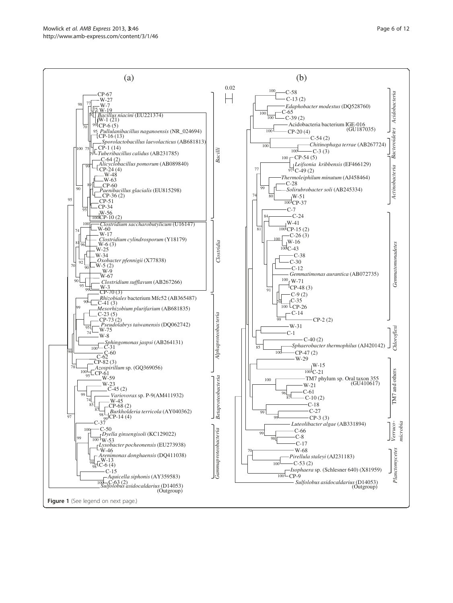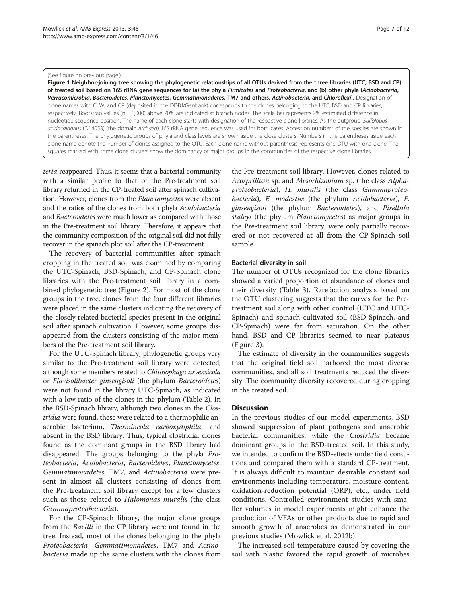#### <span id="page-6-0"></span>(See figure on previous page.)

Figure 1 Neighbor-joining tree showing the phylogenetic relationships of all OTUs derived from the three libraries (UTC, BSD and CP) of treated soil based on 16S rRNA gene sequences for (a) the phyla Firmicutes and Proteobacteria, and (b) other phyla (Acidobacteria, Verrucomicrobia, Bacteroidetes, Planctomycetes, Gemmatimonadetes, TM7 and others, Actinobacteria, and Chloroflexi). Designation of clone names with C, W, and CP (deposited in the DDBJ/Genbank) corresponds to the clones belonging to the UTC, BSD and CP libraries, respectively. Bootstrap values (n = 1,000) above 70% are indicated at branch nodes. The scale bar represents 2% estimated difference in nucleotide sequence position. The name of each clone starts with designation of the respective clone libraries. As the outgroup, Sulfolobus acidocaldarius (D14053) (the domain Archaea) 16S rRNA gene sequence was used for both cases. Accession numbers of the species are shown in the parentheses. The phylogenetic groups of phyla and class levels are shown aside the close clusters. Numbers in the parentheses aside each clone name denote the number of clones assigned to the OTU. Each clone name without parenthesis represents one OTU with one clone. The squares marked with some clone clusters show the dominancy of major groups in the communities of the respective clone libraries.

teria reappeared. Thus, it seems that a bacterial community with a similar profile to that of the Pre-treatment soil library returned in the CP-treated soil after spinach cultivation. However, clones from the Planctomycetes were absent and the ratios of the clones from both phyla Acidobacteria and Bacteroidetes were much lower as compared with those in the Pre-treatment soil library. Therefore, it appears that the community composition of the original soil did not fully recover in the spinach plot soil after the CP-treatment.

The recovery of bacterial communities after spinach cropping in the treated soil was examined by comparing the UTC-Spinach, BSD-Spinach, and CP-Spinach clone libraries with the Pre-treatment soil library in a combined phylogenetic tree (Figure [2\)](#page-8-0). For most of the clone groups in the tree, clones from the four different libraries were placed in the same clusters indicating the recovery of the closely related bacterial species present in the original soil after spinach cultivation. However, some groups disappeared from the clusters consisting of the major members of the Pre-treatment soil library.

For the UTC-Spinach library, phylogenetic groups very similar to the Pre-treatment soil library were detected, although some members related to Chitinophaga arvensicola or Flavisolibacter ginsengisoli (the phylum Bacteroidetes) were not found in the library UTC-Spinach, as indicated with a low ratio of the clones in the phylum (Table [2\)](#page-4-0). In the BSD-Spinach library, although two clones in the Clostridia were found, these were related to a thermophilic anaerobic bacterium, Thermincola carboxydiphila, and absent in the BSD library. Thus, typical clostridial clones found as the dominant groups in the BSD library had disappeared. The groups belonging to the phyla Proteobacteria, Acidobacteria, Bacteroidetes, Planctomycetes, Gemmatimonadetes, TM7, and Actinobacteria were present in almost all clusters consisting of clones from the Pre-treatment soil library except for a few clusters such as those related to *Halomonas muralis* (the class Gammaproteobacteria).

For the CP-Spinach library, the major clone groups from the Bacilli in the CP library were not found in the tree. Instead, most of the clones belonging to the phyla Proteobacteria, Gemmatimonadetes, TM7 and Actinobacteria made up the same clusters with the clones from

the Pre-treatment soil library. However, clones related to Azosprillum sp. and Mesorhizobium sp. (the class Alphaproteobacteria), H. muralis (the class Gammaproteobacteria), E. modestus (the phylum Acidobacteria), F. ginsengisoli (the phylum Bacteroidetes), and Pirellula staleyi (the phylum Planctomycetes) as major groups in the Pre-treatment soil library, were only partially recovered or not recovered at all from the CP-Spinach soil sample.

#### Bacterial diversity in soil

The number of OTUs recognized for the clone libraries showed a varied proportion of abundance of clones and their diversity (Table [3\)](#page-8-0). Rarefaction analysis based on the OTU clustering suggests that the curves for the Pretreatment soil along with other control (UTC and UTC-Spinach) and spinach cultivated soil (BSD-Spinach, and CP-Spinach) were far from saturation. On the other hand, BSD and CP libraries seemed to near plateaus (Figure [3\)](#page-9-0).

The estimate of diversity in the communities suggests that the original field soil harbored the most diverse communities, and all soil treatments reduced the diversity. The community diversity recovered during cropping in the treated soil.

#### **Discussion**

In the previous studies of our model experiments, BSD showed suppression of plant pathogens and anaerobic bacterial communities, while the Clostridia became dominant groups in the BSD-treated soil. In this study, we intended to confirm the BSD-effects under field conditions and compared them with a standard CP-treatment. It is always difficult to maintain desirable constant soil environments including temperature, moisture content, oxidation-reduction potential (ORP), etc., under field conditions. Controlled environment studies with smaller volumes in model experiments might enhance the production of VFAs or other products due to rapid and smooth growth of anaerobes as demonstrated in our previous studies (Mowlick et al. [2012b\)](#page-11-0).

The increased soil temperature caused by covering the soil with plastic favored the rapid growth of microbes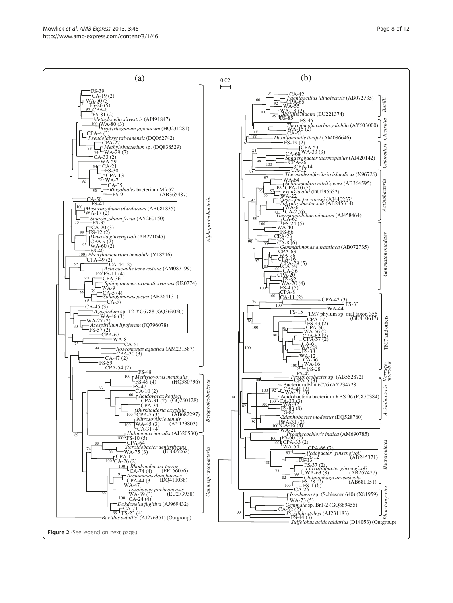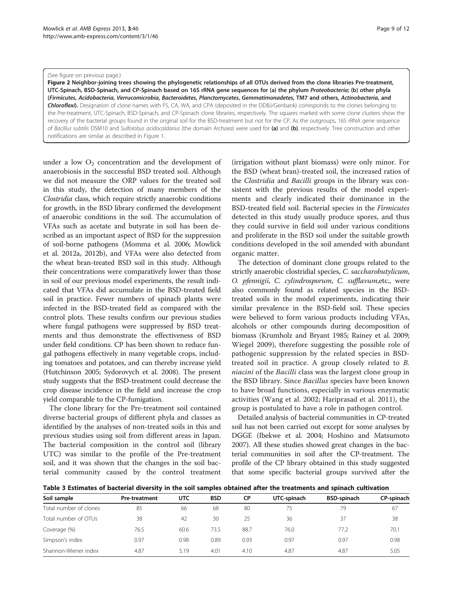#### <span id="page-8-0"></span>(See figure on previous page.)

Figure 2 Neighbor-joining trees showing the phylogenetic relationships of all OTUs derived from the clone libraries Pre-treatment, UTC-Spinach, BSD-Spinach, and CP-Spinach based on 16S rRNA gene sequences for (a) the phylum Proteobacteria; (b) other phyla (Firmicutes, Acidobacteria, Verrucomicrobia, Bacteroidetes, Planctomycetes, Gemmatimonadetes, TM7 and others, Actinobacteria, and Chloroflexi). Designation of clone names with FS, CA, WA, and CPA (deposited in the DDBJ/Genbank) corresponds to the clones belonging to the Pre-treatment, UTC-Spinach, BSD-Spinach, and CP-Spinach clone libraries, respectively. The squares marked with some clone clusters show the recovery of the bacterial groups found in the original soil for the BSD-treatment but not for the CP. As the outgroups, 16S rRNA gene sequence of Bacillus subtilis DSM10 and Sulfolobus acidocaldarius (the domain Archaea) were used for (a) and (b), respectively. Tree construction and other notifications are similar as described in Figure [1](#page-6-0).

under a low  $O_2$  concentration and the development of anaerobiosis in the successful BSD treated soil. Although we did not measure the ORP values for the treated soil in this study, the detection of many members of the Clostridia class, which require strictly anaerobic conditions for growth, in the BSD library confirmed the development of anaerobic conditions in the soil. The accumulation of VFAs such as acetate and butyrate in soil has been described as an important aspect of BSD for the suppression of soil-borne pathogens (Momma et al. [2006;](#page-11-0) Mowlick et al. [2012a](#page-11-0), [2012b\)](#page-11-0), and VFAs were also detected from the wheat bran-treated BSD soil in this study. Although their concentrations were comparatively lower than those in soil of our previous model experiments, the result indicated that VFAs did accumulate in the BSD-treated field soil in practice. Fewer numbers of spinach plants were infected in the BSD-treated field as compared with the control plots. These results confirm our previous studies where fungal pathogens were suppressed by BSD treatments and thus demonstrate the effectiveness of BSD under field conditions. CP has been shown to reduce fungal pathogens effectively in many vegetable crops, including tomatoes and potatoes, and can thereby increase yield (Hutchinson [2005;](#page-10-0) Sydorovych et al. [2008](#page-11-0)). The present study suggests that the BSD-treatment could decrease the crop disease incidence in the field and increase the crop yield comparable to the CP-fumigation.

The clone library for the Pre-treatment soil contained diverse bacterial groups of different phyla and classes as identified by the analyses of non-treated soils in this and previous studies using soil from different areas in Japan. The bacterial composition in the control soil (library UTC) was similar to the profile of the Pre-treatment soil, and it was shown that the changes in the soil bacterial community caused by the control treatment (irrigation without plant biomass) were only minor. For the BSD (wheat bran)-treated soil, the increased ratios of the Clostridia and Bacilli groups in the library was consistent with the previous results of the model experiments and clearly indicated their dominance in the BSD-treated field soil. Bacterial species in the Firmicutes detected in this study usually produce spores, and thus they could survive in field soil under various conditions and proliferate in the BSD soil under the suitable growth conditions developed in the soil amended with abundant organic matter.

The detection of dominant clone groups related to the strictly anaerobic clostridial species, C. saccharobutylicum, O. pfennigii, C. cylindrosporum, C. sufflavum,etc., were also commonly found as related species in the BSDtreated soils in the model experiments, indicating their similar prevalence in the BSD-field soil. These species were believed to form various products including VFAs, alcohols or other compounds during decomposition of biomass (Krumholz and Bryant [1985;](#page-10-0) Rainey et al. [2009](#page-11-0); Wiegel [2009\)](#page-11-0), therefore suggesting the possible role of pathogenic suppression by the related species in BSDtreated soil in practice. A group closely related to B. niacini of the Bacilli class was the largest clone group in the BSD library. Since Bacillus species have been known to have broad functions, especially in various enzymatic activities (Wang et al. [2002;](#page-11-0) Hariprasad et al. [2011\)](#page-10-0), the group is postulated to have a role in pathogen control.

Detailed analysis of bacterial communities in CP-treated soil has not been carried out except for some analyses by DGGE (Ibekwe et al. [2004;](#page-10-0) Hoshino and Matsumoto 2007). All these studies showed great changes in the bacterial communities in soil after the CP-treatment. The profile of the CP library obtained in this study suggested that some specific bacterial groups survived after the

Table 3 Estimates of bacterial diversity in the soil samples obtained after the treatments and spinach cultivation

| Soil sample            | <b>Pre-treatment</b> | <b>UTC</b> | <b>BSD</b> | <b>CP</b> | UTC-spinach | <b>BSD-spinach</b> | CP-spinach |  |
|------------------------|----------------------|------------|------------|-----------|-------------|--------------------|------------|--|
| Total number of clones | 85                   | 66         | 68         | 80        | 75          | 79                 | 67         |  |
| Total number of OTUs   | 38                   | 42         | 30         | 25        | 36          | 37                 | 38         |  |
| Coverage (%)           | 76.5                 | 60.6       | 73.5       | 88.7      | 76.0        | 77.2               | 70.1       |  |
| Simpson's index        | 0.97                 | 0.98       | 0.89       | 0.93      | 0.97        | 0.97               | 0.98       |  |
| Shannon-Wiener index   | 4.87                 | 5.19       | 4.01       | 4.10      | 4.87        | 4.87               | 5.05       |  |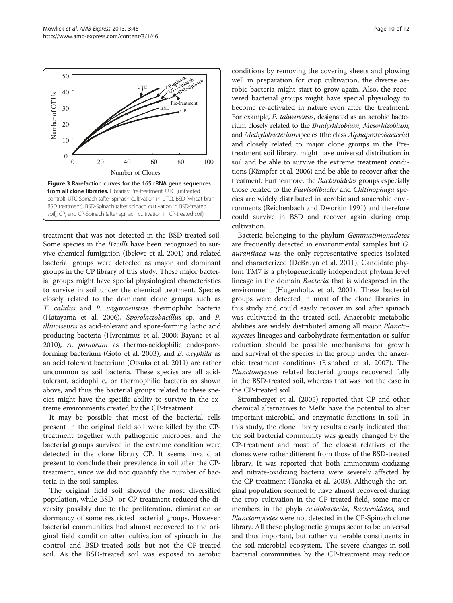<span id="page-9-0"></span>

treatment that was not detected in the BSD-treated soil. Some species in the Bacilli have been recognized to survive chemical fumigation (Ibekwe et al. [2001\)](#page-10-0) and related bacterial groups were detected as major and dominant groups in the CP library of this study. These major bacterial groups might have special physiological characteristics to survive in soil under the chemical treatment. Species closely related to the dominant clone groups such as T. calidus and P. naganoensisas thermophilic bacteria (Hatayama et al. [2006](#page-10-0)), Sporolactobacillus sp. and P. illinoisensis as acid-tolerant and spore-forming lactic acid producing bacteria (Hyronimus et al. [2000](#page-10-0); Bayane et al. [2010\)](#page-10-0), A. pomorum as thermo-acidophilic endosporeforming bacterium (Goto et al. [2003](#page-10-0)), and B. oxyphila as an acid tolerant bacterium (Otsuka et al. [2011](#page-11-0)) are rather uncommon as soil bacteria. These species are all acidtolerant, acidophilic, or thermophilic bacteria as shown above, and thus the bacterial groups related to these species might have the specific ability to survive in the extreme environments created by the CP-treatment.

It may be possible that most of the bacterial cells present in the original field soil were killed by the CPtreatment together with pathogenic microbes, and the bacterial groups survived in the extreme condition were detected in the clone library CP. It seems invalid at present to conclude their prevalence in soil after the CPtreatment, since we did not quantify the number of bacteria in the soil samples.

The original field soil showed the most diversified population, while BSD- or CP-treatment reduced the diversity possibly due to the proliferation, elimination or dormancy of some restricted bacterial groups. However, bacterial communities had almost recovered to the original field condition after cultivation of spinach in the control and BSD-treated soils but not the CP-treated soil. As the BSD-treated soil was exposed to aerobic conditions by removing the covering sheets and plowing well in preparation for crop cultivation, the diverse aerobic bacteria might start to grow again. Also, the recovered bacterial groups might have special physiology to become re-activated in nature even after the treatment. For example, P. taiwanensis, designated as an aerobic bacterium closely related to the Bradyrhizobium, Mesorhizobium, and Methylobacteriumspecies (the class Alphaproteobacteria) and closely related to major clone groups in the Pretreatment soil library, might have universal distribution in soil and be able to survive the extreme treatment conditions (Kämpfer et al. [2006](#page-10-0)) and be able to recover after the treatment. Furthermore, the Bacteroidetes groups especially those related to the Flavisolibacter and Chitinophaga species are widely distributed in aerobic and anaerobic environments (Reichenbach and Dworkin [1991](#page-11-0)) and therefore could survive in BSD and recover again during crop cultivation.

Bacteria belonging to the phylum Gemmatimonadetes are frequently detected in environmental samples but G. aurantiaca was the only representative species isolated and characterized (DeBruyn et al. [2011\)](#page-10-0). Candidate phylum TM7 is a phylogenetically independent phylum level lineage in the domain Bacteria that is widespread in the environment (Hugenholtz et al. [2001](#page-10-0)). These bacterial groups were detected in most of the clone libraries in this study and could easily recover in soil after spinach was cultivated in the treated soil. Anaerobic metabolic abilities are widely distributed among all major Planctomycetes lineages and carbohydrate fermentation or sulfur reduction should be possible mechanisms for growth and survival of the species in the group under the anaerobic treatment conditions (Elshahed et al. [2007\)](#page-10-0). The Planctomycetes related bacterial groups recovered fully in the BSD-treated soil, whereas that was not the case in the CP-treated soil.

Stromberger et al. ([2005](#page-11-0)) reported that CP and other chemical alternatives to MeBr have the potential to alter important microbial and enzymatic functions in soil. In this study, the clone library results clearly indicated that the soil bacterial community was greatly changed by the CP-treatment and most of the closest relatives of the clones were rather different from those of the BSD-treated library. It was reported that both ammonium-oxidizing and nitrate-oxidizing bacteria were severely affected by the CP-treatment (Tanaka et al. [2003](#page-11-0)). Although the original population seemed to have almost recovered during the crop cultivation in the CP-treated field, some major members in the phyla Acidobacteria, Bacteroidetes, and Planctomycetes were not detected in the CP-Spinach clone library. All these phylogenetic groups seem to be universal and thus important, but rather vulnerable constituents in the soil microbial ecosystem. The severe changes in soil bacterial communities by the CP-treatment may reduce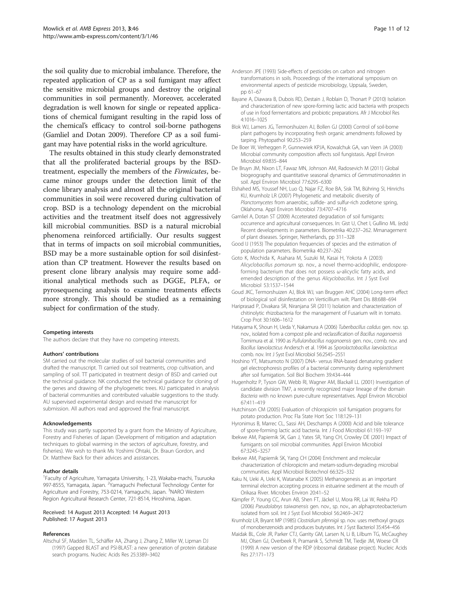<span id="page-10-0"></span>the soil quality due to microbial imbalance. Therefore, the repeated application of CP as a soil fumigant may affect the sensitive microbial groups and destroy the original communities in soil permanently. Moreover, accelerated degradation is well known for single or repeated applications of chemical fumigant resulting in the rapid loss of the chemical's efficacy to control soil-borne pathogens (Gamliel and Dotan 2009). Therefore CP as a soil fumigant may have potential risks in the world agriculture.

The results obtained in this study clearly demonstrated that all the proliferated bacterial groups by the BSDtreatment, especially the members of the Firmicutes, became minor groups under the detection limit of the clone library analysis and almost all the original bacterial communities in soil were recovered during cultivation of crop. BSD is a technology dependent on the microbial activities and the treatment itself does not aggressively kill microbial communities. BSD is a natural microbial phenomena reinforced artificially. Our results suggest that in terms of impacts on soil microbial communities, BSD may be a more sustainable option for soil disinfestation than CP treatment. However the results based on present clone library analysis may require some additional analytical methods such as DGGE, PLFA, or pyrosequencing analysis to examine treatments effects more strongly. This should be studied as a remaining subject for confirmation of the study.

#### Competing interests

The authors declare that they have no competing interests.

#### Authors' contributions

SM carried out the molecular studies of soil bacterial communities and drafted the manuscript. TI carried out soil treatments, crop cultivation, and sampling of soil. TT participated in treatment design of BSD and carried out the technical guidance. NK conducted the technical guidance for cloning of the genes and drawing of the phylogenetic trees. KU participated in analysis of bacterial communities and contributed valuable suggestions to the study. AU supervised experimental design and revised the manuscript for submission. All authors read and approved the final manuscript.

#### Acknowledgements

This study was partly supported by a grant from the Ministry of Agriculture, Forestry and Fisheries of Japan (Development of mitigation and adaptation techniques to global warming in the sectors of agriculture, forestry, and fisheries). We wish to thank Ms Yoshimi Ohtaki, Dr. Braun Gordon, and Dr. Matthew Back for their advices and assistances.

#### Author details

<sup>1</sup> Faculty of Agriculture, Yamagata University, 1-23, Wakaba-machi, Tsuruoka 997-8555, Yamagata, Japan. <sup>2</sup>Yamaguchi Prefectural Technology Center for Agriculture and Forestry, 753-0214, Yamaguchi, Japan. <sup>3</sup>NARO Western Region Agricultural Research Center, 721-8514, Hiroshima, Japan.

#### Received: 14 August 2013 Accepted: 14 August 2013 Published: 17 August 2013

#### References

Altschul SF, Madden TL, Schäffer AA, Zhang J, Zhang Z, Miller W, Lipman DJ (1997) Gapped BLAST and PSI-BLAST: a new generation of protein database search programs. Nucleic Acids Res 25:3389–3402

- Bayane A, Diawara B, Dubois RD, Destain J, Roblain D, Thonart P (2010) Isolation and characterization of new spore-forming lactic acid bacteria with prospects of use in food fermentations and probiotic preparations. Afr J Microbiol Res 4:1016–1025
- Blok WJ, Lamers JG, Termorshuizen AJ, Bollen GJ (2000) Control of soil-borne plant pathogens by incorporating fresh organic amendments followed by tarping. Phytopathol 90:253-259
- De Boer W, Verheggen P, Gunnewiek KPJA, Kowalchuk GA, van Veen JA (2003) Microbial community composition affects soil fungistasis. Appl Environ Microbiol 69:835–844
- De Bruyn JM, Nixon LT, Fawaz MN, Johnson AM, Radosevich M (2011) Global biogeography and quantitative seasonal dynamics of Gemmatimonadetes in soil. Appl Environ Microbiol 77:6295–6300
- Elshahed MS, Youssef NH, Luo Q, Najar FZ, Roe BA, Sisk TM, Bühring SI, Hinrichs KU, Krumholz LR (2007) Phylogenetic and metabolic diversity of Planctomycetes from anaerobic, sulfide- and sulfur-rich zodletone spring, Oklahoma. Appl Environ Microbiol 73:4707–4716
- Gamliel A, Dotan ST (2009) Acceterated degradation of soil fumigants: occurrence and agricultural consequences. In: Gist U, Chet I, Gullino ML (eds) Recent developments in parameters. Biometrika 40:237–262. Mmanagement of plant diseases. Springer, Netherlands, pp 311–328
- Good IJ (1953) The population frequencies of species and the estimation of population parameters. Biometrika 40:237–262
- Goto K, Mochida K, Asahara M, Suzuki M, Kasai H, Yokota A (2003) Alicyclobacillus pomorum sp. nov., a novel thermo-acidophilic, endosporeforming bacterium that does not possess  $\omega$ -alicyclic fatty acids, and emended description of the genus Alicyclobacillus. Int J Syst Evol Microbiol 53:1537–1544
- Goud JKC, Termorshuizen AJ, Blok WJ, van Bruggen AHC (2004) Long-term effect of biological soil disinfestation on Verticillium wilt. Plant Dis 88:688–694
- Hariprasad P, Divakara SR, Niranjana SR (2011) Isolation and characterization of chitinolytic rhizobacteria for the management of Fusarium wilt in tomato. Crop Prot 30:1606–1612
- Hatayama K, Shoun H, Ueda Y, Nakamura A (2006) Tuberibacillus calidus gen. nov. sp. nov., isolated from a compost pile and reclassification of Bacillus naganoensis Tomimura et al. 1990 as Pullulanibacillus naganoensis gen. nov., comb. nov. and Bacillus laevolacticus Andersch et al. 1994 as Sporolactobacillus laevolacticus comb. nov. Int J Syst Evol Microbiol 56:2545–2551
- Hoshino YT, Matsumoto N (2007) DNA- versus RNA-based denaturing gradient gel electrophoresis profiles of a bacterial community during replenishment after soil fumigation. Soil Biol Biochem 39:434–444
- Hugenholtz P, Tyson GW, Webb RI, Wagner AM, Blackall LL (2001) Investigation of candidate division TM7, a recently recognized major lineage of the domain Bacteria with no known pure-culture representatives. Appl Environ Microbiol 67:411–419
- Hutchinson CM (2005) Evaluation of chloropicrin soil fumigation programs for potato production. Proc Fla State Hort Soc 118:129–131
- Hyronimus B, Marrec CL, Sassi AH, Deschamps A (2000) Acid and bile tolerance of spore-forming lactic acid bacteria. Int J Food Microbiol 61:193–197
- Ibekwe AM, Papiernik SK, Gan J, Yates SR, Yang CH, Crowley DE (2001) Impact of fumigants on soil microbial communities. Appl Environ Microbiol 67:3245–3257
- Ibekwe AM, Papiernik SK, Yang CH (2004) Enrichment and molecular characterization of chloropicrin and metam-sodium-degrading microbial communities. Appl Microbiol Biotechnol 66:325–332
- Kaku N, Ueki A, Ueki K, Watanabe K (2005) Methanogenesis as an important terminal electron accepting process in estuarine sediment at the mouth of Orikasa River. Microbes Environ 20:41–52
- Kämpfer P, Young CC, Arun AB, Shen FT, Jäckel U, Mora RR, Lai W, Rekha PD (2006) Pseudolabrys taiwanensis gen. nov., sp. nov., an alphaproteobacterium isolated from soil. Int J Syst Evol Microbiol 56:2469–2472
- Krumholz LR, Bryant MP (1985) Clostridium pfennigii sp. nov. uses methoxyl groups of monobenzenoids and produces butyrates. Int J Syst Bacteriol 35:454–456
- Maidak BL, Cole JR, Parker CTJ, Garrity GM, Larsen N, Li B, Lilbum TG, McCaughey MJ, Olsen GJ, Overbeek R, Pramanik S, Schmidt TM, Tiedje JM, Woese CR (1999) A new version of the RDP (ribosomal database project). Nucleic Acids Res 27:171–173